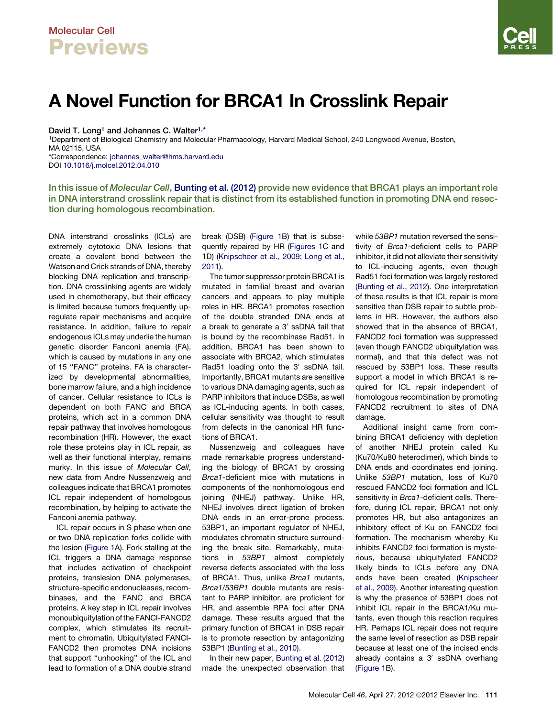## Molecular Cell **Previews**

## A Novel Function for BRCA1 In Crosslink Repair

David T. Long<sup>1</sup> and Johannes C. Walter<sup>1,\*</sup>

1Department of Biological Chemistry and Molecular Pharmacology, Harvard Medical School, 240 Longwood Avenue, Boston, MA 02115, USA \*Correspondence: [johannes\\_walter@hms.harvard.edu](mailto:johannes_walter@hms.harvard.edu)

DOI [10.1016/j.molcel.2012.04.010](http://dx.doi.org/10.1016/j.molcel.2012.04.010)

In this issue of Molecular Cell, [Bunting et al. \(2012\)](#page-1-0) provide new evidence that BRCA1 plays an important role in DNA interstrand crosslink repair that is distinct from its established function in promoting DNA end resection during homologous recombination.

DNA interstrand crosslinks (ICLs) are extremely cytotoxic DNA lesions that create a covalent bond between the Watson and Crick strands of DNA, thereby blocking DNA replication and transcription. DNA crosslinking agents are widely used in chemotherapy, but their efficacy is limited because tumors frequently upregulate repair mechanisms and acquire resistance. In addition, failure to repair endogenous ICLs may underlie the human genetic disorder Fanconi anemia (FA), which is caused by mutations in any one of 15 "FANC" proteins. FA is characterized by developmental abnormalities, bone marrow failure, and a high incidence of cancer. Cellular resistance to ICLs is dependent on both FANC and BRCA proteins, which act in a common DNA repair pathway that involves homologous recombination (HR). However, the exact role these proteins play in ICL repair, as well as their functional interplay, remains murky. In this issue of *Molecular Cell*, new data from Andre Nussenzweig and colleagues indicate that BRCA1 promotes ICL repair independent of homologous recombination, by helping to activate the Fanconi anemia pathway.

ICL repair occurs in S phase when one or two DNA replication forks collide with the lesion ([Figure 1](#page-1-0)A). Fork stalling at the ICL triggers a DNA damage response that includes activation of checkpoint proteins, translesion DNA polymerases, structure-specific endonucleases, recombinases, and the FANC and BRCA proteins. A key step in ICL repair involves monoubiquitylation of the FANCI-FANCD2 complex, which stimulates its recruitment to chromatin. Ubiquitylated FANCI-FANCD2 then promotes DNA incisions that support ''unhooking'' of the ICL and lead to formation of a DNA double strand

break (DSB) ([Figure 1B](#page-1-0)) that is subsequently repaired by HR [\(Figures 1](#page-1-0)C and 1D) ([Knipscheer et al., 2009; Long et al.,](#page-1-0) [2011](#page-1-0)).

The tumor suppressor protein BRCA1 is mutated in familial breast and ovarian cancers and appears to play multiple roles in HR. BRCA1 promotes resection of the double stranded DNA ends at a break to generate a  $3'$  ssDNA tail that is bound by the recombinase Rad51. In addition, BRCA1 has been shown to associate with BRCA2, which stimulates Rad51 loading onto the 3' ssDNA tail. Importantly, BRCA1 mutants are sensitive to various DNA damaging agents, such as PARP inhibitors that induce DSBs, as well as ICL-inducing agents. In both cases, cellular sensitivity was thought to result from defects in the canonical HR functions of BRCA1.

Nussenzweig and colleagues have made remarkable progress understanding the biology of BRCA1 by crossing *Brca1*-deficient mice with mutations in components of the nonhomologous end joining (NHEJ) pathway. Unlike HR, NHEJ involves direct ligation of broken DNA ends in an error-prone process. 53BP1, an important regulator of NHEJ, modulates chromatin structure surrounding the break site. Remarkably, mutations in *53BP1* almost completely reverse defects associated with the loss of BRCA1. Thus, unlike *Brca1* mutants, *Brca1*/*53BP1* double mutants are resistant to PARP inhibitor, are proficient for HR, and assemble RPA foci after DNA damage. These results argued that the primary function of BRCA1 in DSB repair is to promote resection by antagonizing 53BP1 [\(Bunting et al., 2010\)](#page-1-0).

In their new paper, [Bunting et al. \(2012\)](#page-1-0) made the unexpected observation that while *53BP1* mutation reversed the sensitivity of *Brca1*-deficient cells to PARP inhibitor, it did not alleviate their sensitivity to ICL-inducing agents, even though Rad51 foci formation was largely restored [\(Bunting et al., 2012](#page-1-0)). One interpretation of these results is that ICL repair is more sensitive than DSB repair to subtle problems in HR. However, the authors also showed that in the absence of BRCA1, FANCD2 foci formation was suppressed (even though FANCD2 ubiquitylation was normal), and that this defect was not rescued by 53BP1 loss. These results support a model in which BRCA1 is required for ICL repair independent of homologous recombination by promoting FANCD2 recruitment to sites of DNA damage.

Additional insight came from combining BRCA1 deficiency with depletion of another NHEJ protein called Ku (Ku70/Ku80 heterodimer), which binds to DNA ends and coordinates end joining. Unlike *53BP1* mutation, loss of Ku70 rescued FANCD2 foci formation and ICL sensitivity in *Brca1*-deficient cells. Therefore, during ICL repair, BRCA1 not only promotes HR, but also antagonizes an inhibitory effect of Ku on FANCD2 foci formation. The mechanism whereby Ku inhibits FANCD2 foci formation is mysterious, because ubiquitylated FANCD2 likely binds to ICLs before any DNA ends have been created ([Knipscheer](#page-1-0) [et al., 2009\)](#page-1-0). Another interesting question is why the presence of 53BP1 does not inhibit ICL repair in the BRCA1/Ku mutants, even though this reaction requires HR. Perhaps ICL repair does not require the same level of resection as DSB repair because at least one of the incised ends already contains a 3' ssDNA overhang [\(Figure 1B](#page-1-0)).